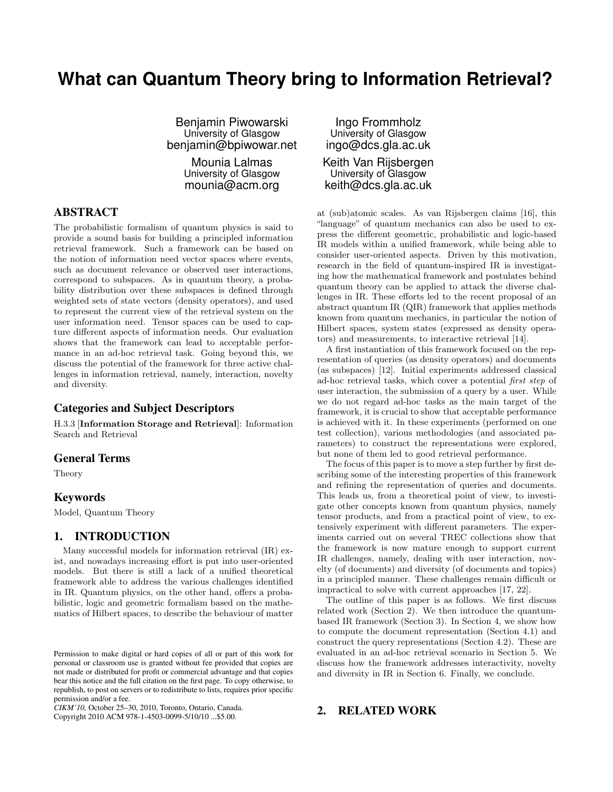# **What can Quantum Theory bring to Information Retrieval?**

Benjamin Piwowarski University of Glasgow benjamin@bpiwowar.net

> Mounia Lalmas University of Glasgow mounia@acm.org

# ABSTRACT

The probabilistic formalism of quantum physics is said to provide a sound basis for building a principled information retrieval framework. Such a framework can be based on the notion of information need vector spaces where events, such as document relevance or observed user interactions, correspond to subspaces. As in quantum theory, a probability distribution over these subspaces is defined through weighted sets of state vectors (density operators), and used to represent the current view of the retrieval system on the user information need. Tensor spaces can be used to capture different aspects of information needs. Our evaluation shows that the framework can lead to acceptable performance in an ad-hoc retrieval task. Going beyond this, we discuss the potential of the framework for three active challenges in information retrieval, namely, interaction, novelty and diversity.

# Categories and Subject Descriptors

H.3.3 [Information Storage and Retrieval]: Information Search and Retrieval

# General Terms

Theory

# Keywords

Model, Quantum Theory

# 1. INTRODUCTION

Many successful models for information retrieval (IR) exist, and nowadays increasing effort is put into user-oriented models. But there is still a lack of a unified theoretical framework able to address the various challenges identified in IR. Quantum physics, on the other hand, offers a probabilistic, logic and geometric formalism based on the mathematics of Hilbert spaces, to describe the behaviour of matter

*CIKM'10,* October 25–30, 2010, Toronto, Ontario, Canada.

Copyright 2010 ACM 978-1-4503-0099-5/10/10 ...\$5.00.

Ingo Frommholz University of Glasgow ingo@dcs.gla.ac.uk Keith Van Rijsbergen University of Glasgow keith@dcs.gla.ac.uk

at (sub)atomic scales. As van Rijsbergen claims [16], this "language" of quantum mechanics can also be used to express the different geometric, probabilistic and logic-based IR models within a unified framework, while being able to consider user-oriented aspects. Driven by this motivation, research in the field of quantum-inspired IR is investigating how the mathematical framework and postulates behind quantum theory can be applied to attack the diverse challenges in IR. These efforts led to the recent proposal of an abstract quantum IR (QIR) framework that applies methods known from quantum mechanics, in particular the notion of Hilbert spaces, system states (expressed as density operators) and measurements, to interactive retrieval [14].

A first instantiation of this framework focused on the representation of queries (as density operators) and documents (as subspaces) [12]. Initial experiments addressed classical ad-hoc retrieval tasks, which cover a potential *first step* of user interaction, the submission of a query by a user. While we do not regard ad-hoc tasks as the main target of the framework, it is crucial to show that acceptable performance is achieved with it. In these experiments (performed on one test collection), various methodologies (and associated parameters) to construct the representations were explored, but none of them led to good retrieval performance.

The focus of this paper is to move a step further by first describing some of the interesting properties of this framework and refining the representation of queries and documents. This leads us, from a theoretical point of view, to investigate other concepts known from quantum physics, namely tensor products, and from a practical point of view, to extensively experiment with different parameters. The experiments carried out on several TREC collections show that the framework is now mature enough to support current IR challenges, namely, dealing with user interaction, novelty (of documents) and diversity (of documents and topics) in a principled manner. These challenges remain difficult or impractical to solve with current approaches [17, 22].

The outline of this paper is as follows. We first discuss related work (Section 2). We then introduce the quantumbased IR framework (Section 3). In Section 4, we show how to compute the document representation (Section 4.1) and construct the query representations (Section 4.2). These are evaluated in an ad-hoc retrieval scenario in Section 5. We discuss how the framework addresses interactivity, novelty and diversity in IR in Section 6. Finally, we conclude.

# 2. RELATED WORK

Permission to make digital or hard copies of all or part of this work for personal or classroom use is granted without fee provided that copies are not made or distributed for profit or commercial advantage and that copies bear this notice and the full citation on the first page. To copy otherwise, to republish, to post on servers or to redistribute to lists, requires prior specific permission and/or a fee.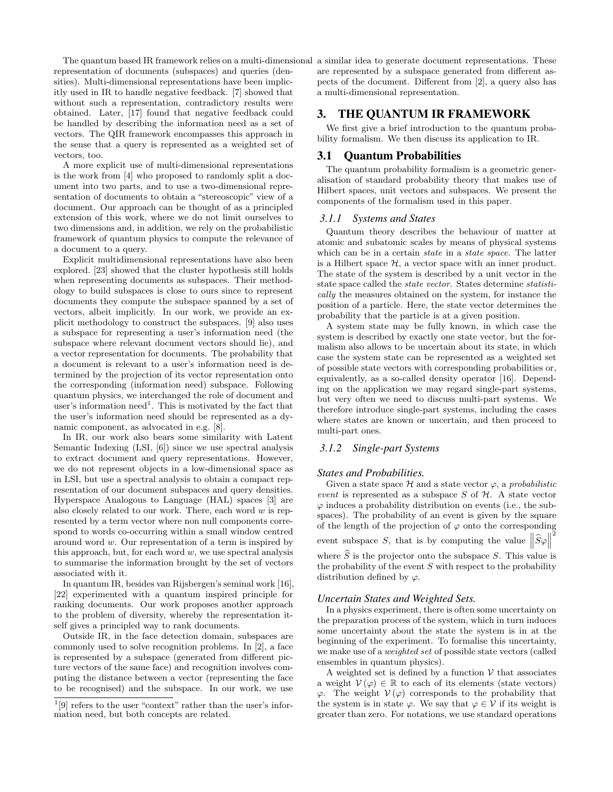The quantum based IR framework relies on a multi-dimensional a similar idea to generate document representations. These

representation of documents (subspaces) and queries (densities). Multi-dimensional representations have been implicitly used in IR to handle negative feedback. [7] showed that without such a representation, contradictory results were obtained. Later, [17] found that negative feedback could be handled by describing the information need as a set of vectors. The QIR framework encompasses this approach in the sense that a query is represented as a weighted set of vectors, too.

A more explicit use of multi-dimensional representations is the work from [4] who proposed to randomly split a document into two parts, and to use a two-dimensional representation of documents to obtain a "stereoscopic" view of a document. Our approach can be thought of as a principled extension of this work, where we do not limit ourselves to two dimensions and, in addition, we rely on the probabilistic framework of quantum physics to compute the relevance of a document to a query.

Explicit multidimensional representations have also been explored. [23] showed that the cluster hypothesis still holds when representing documents as subspaces. Their methodology to build subspaces is close to ours since to represent documents they compute the subspace spanned by a set of vectors, albeit implicitly. In our work, we provide an explicit methodology to construct the subspaces. [9] also uses a subspace for representing a user's information need (the subspace where relevant document vectors should lie), and a vector representation for documents. The probability that a document is relevant to a user's information need is determined by the projection of its vector representation onto the corresponding (information need) subspace. Following quantum physics, we interchanged the role of document and user's information need<sup>1</sup>. This is motivated by the fact that the user's information need should be represented as a dynamic component, as advocated in e.g. [8].

In IR, our work also bears some similarity with Latent Semantic Indexing (LSI, [6]) since we use spectral analysis to extract document and query representations. However, we do not represent objects in a low-dimensional space as in LSI, but use a spectral analysis to obtain a compact representation of our document subspaces and query densities. Hyperspace Analogous to Language (HAL) spaces [3] are also closely related to our work. There, each word  $w$  is represented by a term vector where non null components correspond to words co-occurring within a small window centred around word  $w$ . Our representation of a term is inspired by this approach, but, for each word  $w$ , we use spectral analysis to summarise the information brought by the set of vectors associated with it.

In quantum IR, besides van Rijsbergen's seminal work [16], [22] experimented with a quantum inspired principle for ranking documents. Our work proposes another approach to the problem of diversity, whereby the representation itself gives a principled way to rank documents.

Outside IR, in the face detection domain, subspaces are commonly used to solve recognition problems. In [2], a face is represented by a subspace (generated from different picture vectors of the same face) and recognition involves computing the distance between a vector (representing the face to be recognised) and the subspace. In our work, we use are represented by a subspace generated from different aspects of the document. Different from [2], a query also has a multi-dimensional representation.

# 3. THE QUANTUM IR FRAMEWORK

We first give a brief introduction to the quantum probability formalism. We then discuss its application to IR.

# 3.1 Quantum Probabilities

The quantum probability formalism is a geometric generalisation of standard probability theory that makes use of Hilbert spaces, unit vectors and subspaces. We present the components of the formalism used in this paper.

#### *3.1.1 Systems and States*

Quantum theory describes the behaviour of matter at atomic and subatomic scales by means of physical systems which can be in a certain *state* in a *state space.* The latter is a Hilbert space  $H$ , a vector space with an inner product. The state of the system is described by a unit vector in the state space called the *state vector*. States determine *statistically* the measures obtained on the system, for instance the position of a particle. Here, the state vector determines the probability that the particle is at a given position.

A system state may be fully known, in which case the system is described by exactly one state vector, but the formalism also allows to be uncertain about its state, in which case the system state can be represented as a weighted set of possible state vectors with corresponding probabilities or, equivalently, as a so-called density operator [16]. Depending on the application we may regard single-part systems, but very often we need to discuss multi-part systems. We therefore introduce single-part systems, including the cases where states are known or uncertain, and then proceed to multi-part ones.

# *3.1.2 Single-part Systems*

#### *States and Probabilities.*

Given a state space  $H$  and a state vector  $\varphi$ , a *probabilistic event* is represented as a subspace  $S$  of  $H$ . A state vector  $\varphi$  induces a probability distribution on events (i.e., the subspaces). The probability of an event is given by the square of the length of the projection of  $\varphi$  onto the corresponding<br> $\frac{1}{2}$ event subspace S, that is by computing the value  $\|\widehat{S}\varphi\|$ where  $\widehat{S}$  is the projector onto the subspace S. This value is

the probability of the event  $S$  with respect to the probability distribution defined by  $\varphi$ .

#### *Uncertain States and Weighted Sets.*

In a physics experiment, there is often some uncertainty on the preparation process of the system, which in turn induces some uncertainty about the state the system is in at the beginning of the experiment. To formalise this uncertainty, we make use of a *weighted set* of possible state vectors (called ensembles in quantum physics).

A weighted set is defined by a function  $V$  that associates a weight  $V(\varphi) \in \mathbb{R}$  to each of its elements (state vectors)  $\varphi$ . The weight  $V(\varphi)$  corresponds to the probability that the system is in state  $\varphi$ . We say that  $\varphi \in \mathcal{V}$  if its weight is greater than zero. For notations, we use standard operations

 $1$ [9] refers to the user "context" rather than the user's information need, but both concepts are related.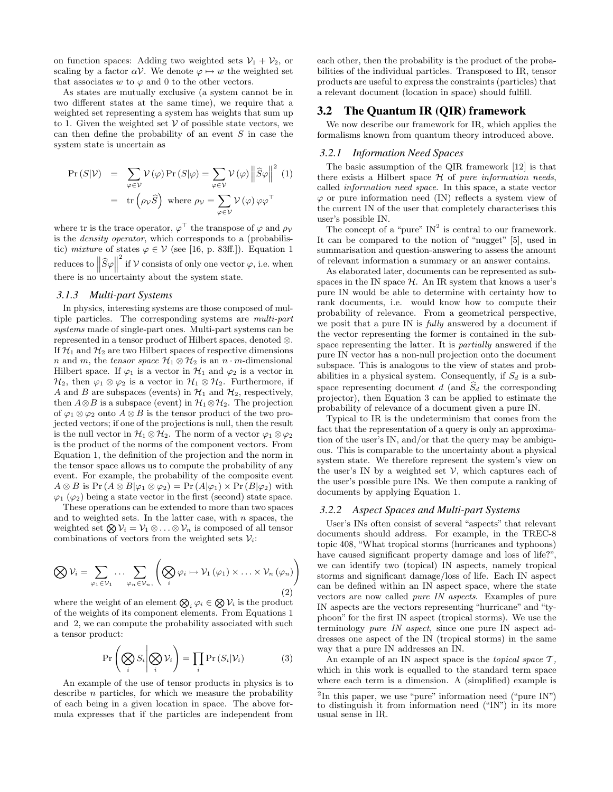on function spaces: Adding two weighted sets  $\mathcal{V}_1 + \mathcal{V}_2$ , or scaling by a factor  $\alpha \mathcal{V}$ . We denote  $\varphi \mapsto w$  the weighted set that associates w to  $\varphi$  and 0 to the other vectors.

As states are mutually exclusive (a system cannot be in two different states at the same time), we require that a weighted set representing a system has weights that sum up to 1. Given the weighted set  $V$  of possible state vectors, we can then define the probability of an event  $S$  in case the system state is uncertain as

$$
\Pr(S|\mathcal{V}) = \sum_{\varphi \in \mathcal{V}} \mathcal{V}(\varphi) \Pr(S|\varphi) = \sum_{\varphi \in \mathcal{V}} \mathcal{V}(\varphi) \left\| \widehat{S}\varphi \right\|^2 (1)
$$

$$
= \text{tr}(\rho \circ \widehat{S}) \text{ where } \rho \circ \varphi = \sum_{\varphi \in \mathcal{V}} \mathcal{V}(\varphi) \varphi \varphi^{\top}
$$

where tr is the trace operator,  $\varphi^{\top}$  the transpose of  $\varphi$  and  $\rho_{\mathcal{V}}$ is the *density operator*, which corresponds to a (probabilistic) *mixture* of states  $\varphi \in V$  (see [16, p. 83ff.]). Equation 1 reduces to  $\left\|\widehat{S}\varphi\right\|$ <sup>2</sup> if  $V$  consists of only one vector  $\varphi$ , i.e. when there is no uncertainty about the system state.

#### *3.1.3 Multi-part Systems*

In physics, interesting systems are those composed of multiple particles. The corresponding systems are *multi-part systems* made of single-part ones. Multi-part systems can be represented in a tensor product of Hilbert spaces, denoted ⊗. If  $\mathcal{H}_1$  and  $\mathcal{H}_2$  are two Hilbert spaces of respective dimensions *n* and *m*, the *tensor space*  $\mathcal{H}_1 \otimes \mathcal{H}_2$  is an *n* · *m*-dimensional Hilbert space. If  $\varphi_1$  is a vector in  $\mathcal{H}_1$  and  $\varphi_2$  is a vector in  $\mathcal{H}_2$ , then  $\varphi_1 \otimes \varphi_2$  is a vector in  $\mathcal{H}_1 \otimes \mathcal{H}_2$ . Furthermore, if A and B are subspaces (events) in  $\mathcal{H}_1$  and  $\mathcal{H}_2$ , respectively, then  $A\otimes B$  is a subspace (event) in  $\mathcal{H}_1\otimes \mathcal{H}_2$ . The projection of  $\varphi_1 \otimes \varphi_2$  onto  $A \otimes B$  is the tensor product of the two projected vectors; if one of the projections is null, then the result is the null vector in  $\mathcal{H}_1 \otimes \mathcal{H}_2$ . The norm of a vector  $\varphi_1 \otimes \varphi_2$ is the product of the norms of the component vectors. From Equation 1, the definition of the projection and the norm in the tensor space allows us to compute the probability of any event. For example, the probability of the composite event  $A \otimes B$  is  $Pr(A \otimes B | \varphi_1 \otimes \varphi_2) = Pr(A | \varphi_1) \times Pr(B | \varphi_2)$  with  $\varphi_1$  ( $\varphi_2$ ) being a state vector in the first (second) state space.

These operations can be extended to more than two spaces and to weighted sets. In the latter case, with  $n$  spaces, the weighted set  $\bigotimes \mathcal{V}_i = \mathcal{V}_1 \otimes \ldots \otimes \mathcal{V}_n$  is composed of all tensor combinations of vectors from the weighted sets  $\mathcal{V}_i$ :

$$
\bigotimes \mathcal{V}_i = \sum_{\varphi_1 \in \mathcal{V}_1} \ldots \sum_{\varphi_n \in \mathcal{V}_n,} \left( \bigotimes_i \varphi_i \mapsto \mathcal{V}_1(\varphi_1) \times \ldots \times \mathcal{V}_n(\varphi_n) \right)
$$
(2)

where the weight of an element  $\bigotimes_i \varphi_i \in \bigotimes \mathcal{V}_i$  is the product of the weights of its component elements. From Equations 1 and 2, we can compute the probability associated with such a tensor product:

$$
\Pr\left(\bigotimes_{i} S_{i} \middle| \bigotimes_{i} \mathcal{V}_{i}\right) = \prod_{i} \Pr\left(S_{i} | \mathcal{V}_{i}\right) \tag{3}
$$

An example of the use of tensor products in physics is to describe  $n$  particles, for which we measure the probability of each being in a given location in space. The above formula expresses that if the particles are independent from

each other, then the probability is the product of the probabilities of the individual particles. Transposed to IR, tensor products are useful to express the constraints (particles) that a relevant document (location in space) should fulfill.

# 3.2 The Quantum IR (QIR) framework

We now describe our framework for IR, which applies the formalisms known from quantum theory introduced above.

### *3.2.1 Information Need Spaces*

The basic assumption of the QIR framework [12] is that there exists a Hilbert space H of *pure information needs*, called *information need space*. In this space, a state vector  $\varphi$  or pure information need (IN) reflects a system view of the current IN of the user that completely characterises this user's possible IN.

The concept of a "pure"  $IN^2$  is central to our framework. It can be compared to the notion of "nugget" [5], used in summarisation and question-answering to assess the amount of relevant information a summary or an answer contains.

As elaborated later, documents can be represented as subspaces in the IN space  $H$ . An IR system that knows a user's pure IN would be able to determine with certainty how to rank documents, i.e. would know how to compute their probability of relevance. From a geometrical perspective, we posit that a pure IN is *fully* answered by a document if the vector representing the former is contained in the subspace representing the latter. It is *partially* answered if the pure IN vector has a non-null projection onto the document subspace. This is analogous to the view of states and probabilities in a physical system. Consequently, if  $S_d$  is a subspace representing document d (and  $\widehat{S}_d$  the corresponding projector), then Equation 3 can be applied to estimate the probability of relevance of a document given a pure IN.

Typical to IR is the undeterminism that comes from the fact that the representation of a query is only an approximation of the user's IN, and/or that the query may be ambiguous. This is comparable to the uncertainty about a physical system state. We therefore represent the system's view on the user's IN by a weighted set  $V$ , which captures each of the user's possible pure INs. We then compute a ranking of documents by applying Equation 1.

#### *3.2.2 Aspect Spaces and Multi-part Systems*

User's INs often consist of several "aspects" that relevant documents should address. For example, in the TREC-8 topic 408, "What tropical storms (hurricanes and typhoons) have caused significant property damage and loss of life?". we can identify two (topical) IN aspects, namely tropical storms and significant damage/loss of life. Each IN aspect can be defined within an IN aspect space, where the state vectors are now called *pure IN aspects*. Examples of pure IN aspects are the vectors representing "hurricane" and "typhoon" for the first IN aspect (tropical storms). We use the terminology *pure IN aspect,* since one pure IN aspect addresses one aspect of the IN (tropical storms) in the same way that a pure IN addresses an IN.

An example of an IN aspect space is the *topical space*  $\mathcal{T}$ , which in this work is equalled to the standard term space where each term is a dimension. A (simplified) example is

 ${}^{2}$ In this paper, we use "pure" information need ("pure IN") to distinguish it from information need ("IN") in its more usual sense in IR.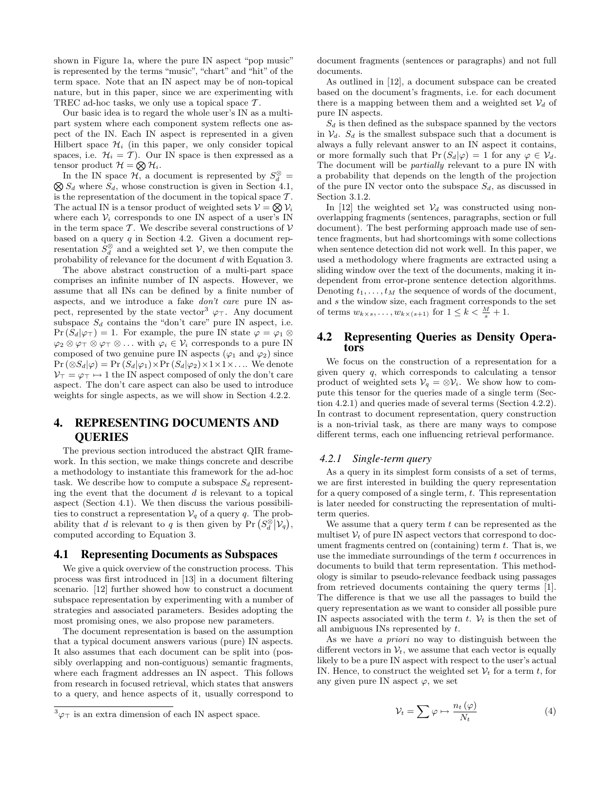shown in Figure 1a, where the pure IN aspect "pop music" is represented by the terms "music", "chart" and "hit" of the term space. Note that an IN aspect may be of non-topical nature, but in this paper, since we are experimenting with TREC ad-hoc tasks, we only use a topical space  $\mathcal{T}$ .

Our basic idea is to regard the whole user's IN as a multipart system where each component system reflects one aspect of the IN. Each IN aspect is represented in a given Hilbert space  $\mathcal{H}_i$  (in this paper, we only consider topical spaces, i.e.  $\mathcal{H}_i = \mathcal{T}$ ). Our IN space is then expressed as a tensor product  $\mathcal{H} = \bigotimes \mathcal{H}_i$ .

In the IN space  $H$ , a document is represented by  $S_d^{\otimes}$  = In the IN space  $\mathcal{H}$ , a document is represented by  $S_d^{\omega} = \bigotimes S_d$  where  $S_d$ , whose construction is given in Section 4.1, is the representation of the document in the topical space  $\mathcal{T}$ . The actual IN is a tensor product of weighted sets  $V = \bigotimes V_i$ where each  $V_i$  corresponds to one IN aspect of a user's IN in the term space  $\mathcal T.$  We describe several constructions of  $\mathcal V$ based on a query  $q$  in Section 4.2. Given a document representation  $S_d^{\otimes}$  and a weighted set  $V$ , we then compute the probability of relevance for the document d with Equation 3.

The above abstract construction of a multi-part space comprises an infinite number of IN aspects. However, we assume that all INs can be defined by a finite number of aspects, and we introduce a fake *don't care* pure IN aspect, represented by the state vector<sup>3</sup>  $\varphi_{\top}$ . Any document subspace  $S_d$  contains the "don't care" pure IN aspect, i.e.  $Pr(S_d|\varphi_\top) = 1.$  For example, the pure IN state  $\varphi = \varphi_1 \otimes$  $\varphi_2 \otimes \varphi_{\top} \otimes \varphi_{\top} \otimes \ldots$  with  $\varphi_i \in \mathcal{V}_i$  corresponds to a pure IN composed of two genuine pure IN aspects ( $\varphi_1$  and  $\varphi_2$ ) since  $Pr(\otimes S_d|\varphi) = Pr(S_d|\varphi_1) \times Pr(S_d|\varphi_2) \times 1 \times 1 \times ...$  We denote  $\mathcal{V}_{\top} = \varphi_{\top} \mapsto 1$  the IN aspect composed of only the don't care aspect. The don't care aspect can also be used to introduce weights for single aspects, as we will show in Section 4.2.2.

# 4. REPRESENTING DOCUMENTS AND QUERIES

The previous section introduced the abstract QIR framework. In this section, we make things concrete and describe a methodology to instantiate this framework for the ad-hoc task. We describe how to compute a subspace  $S_d$  representing the event that the document  $d$  is relevant to a topical aspect (Section 4.1). We then discuss the various possibilities to construct a representation  $V_q$  of a query q. The probability that d is relevant to q is then given by  $Pr(S_d^{\otimes} | V_q)$ , computed according to Equation 3.

## 4.1 Representing Documents as Subspaces

We give a quick overview of the construction process. This process was first introduced in [13] in a document filtering scenario. [12] further showed how to construct a document subspace representation by experimenting with a number of strategies and associated parameters. Besides adopting the most promising ones, we also propose new parameters.

The document representation is based on the assumption that a typical document answers various (pure) IN aspects. It also assumes that each document can be split into (possibly overlapping and non-contiguous) semantic fragments, where each fragment addresses an IN aspect. This follows from research in focused retrieval, which states that answers to a query, and hence aspects of it, usually correspond to

document fragments (sentences or paragraphs) and not full documents.

As outlined in [12], a document subspace can be created based on the document's fragments, i.e. for each document there is a mapping between them and a weighted set  $V_d$  of pure IN aspects.

 $S_d$  is then defined as the subspace spanned by the vectors in  $V_d$ .  $S_d$  is the smallest subspace such that a document is always a fully relevant answer to an IN aspect it contains, or more formally such that  $Pr(S_d|\varphi) = 1$  for any  $\varphi \in \mathcal{V}_d$ . The document will be *partially* relevant to a pure IN with a probability that depends on the length of the projection of the pure IN vector onto the subspace  $S_d$ , as discussed in Section 3.1.2.

In [12] the weighted set  $\mathcal{V}_d$  was constructed using nonoverlapping fragments (sentences, paragraphs, section or full document). The best performing approach made use of sentence fragments, but had shortcomings with some collections when sentence detection did not work well. In this paper, we used a methodology where fragments are extracted using a sliding window over the text of the documents, making it independent from error-prone sentence detection algorithms. Denoting  $t_1, \ldots, t_M$  the sequence of words of the document, and  $s$  the window size, each fragment corresponds to the set of terms  $w_{k \times s}, \ldots, w_{k \times (s+1)}$  for  $1 \leq k < \frac{M}{s} + 1$ .

# 4.2 Representing Queries as Density Operators

We focus on the construction of a representation for a given query  $q$ , which corresponds to calculating a tensor product of weighted sets  $\mathcal{V}_q = \otimes \mathcal{V}_i$ . We show how to compute this tensor for the queries made of a single term (Section 4.2.1) and queries made of several terms (Section 4.2.2). In contrast to document representation, query construction is a non-trivial task, as there are many ways to compose different terms, each one influencing retrieval performance.

#### *4.2.1 Single-term query*

As a query in its simplest form consists of a set of terms, we are first interested in building the query representation for a query composed of a single term,  $t$ . This representation is later needed for constructing the representation of multiterm queries.

We assume that a query term  $t$  can be represented as the multiset  $V_t$  of pure IN aspect vectors that correspond to document fragments centred on (containing) term  $t$ . That is, we use the immediate surroundings of the term  $t$  occurrences in documents to build that term representation. This methodology is similar to pseudo-relevance feedback using passages from retrieved documents containing the query terms [1]. The difference is that we use all the passages to build the query representation as we want to consider all possible pure IN aspects associated with the term t.  $V_t$  is then the set of all ambiguous INs represented by t.

As we have *a priori* no way to distinguish between the different vectors in  $V_t$ , we assume that each vector is equally likely to be a pure IN aspect with respect to the user's actual IN. Hence, to construct the weighted set  $\mathcal{V}_t$  for a term t, for any given pure IN aspect  $\varphi$ , we set

$$
\mathcal{V}_t = \sum \varphi \mapsto \frac{n_t(\varphi)}{N_t} \tag{4}
$$

 $\sqrt[3]{\varphi_{\top}}$  is an extra dimension of each IN aspect space.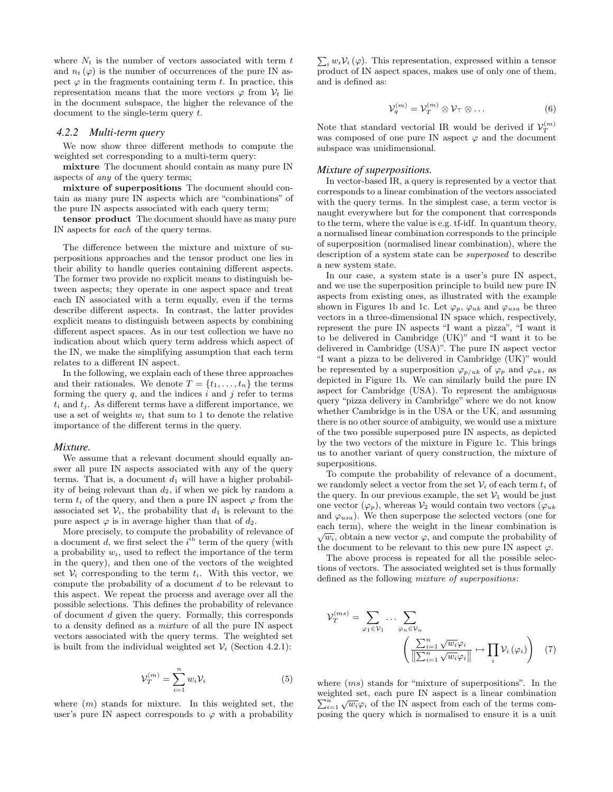where  $N_t$  is the number of vectors associated with term t and  $n_t(\varphi)$  is the number of occurrences of the pure IN aspect  $\varphi$  in the fragments containing term t. In practice, this representation means that the more vectors  $\varphi$  from  $V_t$  lie in the document subspace, the higher the relevance of the document to the single-term query t.

## *4.2.2 Multi-term query*

We now show three different methods to compute the weighted set corresponding to a multi-term query:

mixture The document should contain as many pure IN aspects of *any* of the query terms;

mixture of superpositions The document should contain as many pure IN aspects which are "combinations" of the pure IN aspects associated with each query term;

tensor product The document should have as many pure IN aspects for *each* of the query terms.

The difference between the mixture and mixture of superpositions approaches and the tensor product one lies in their ability to handle queries containing different aspects. The former two provide no explicit means to distinguish between aspects; they operate in one aspect space and treat each IN associated with a term equally, even if the terms describe different aspects. In contrast, the latter provides explicit means to distinguish between aspects by combining different aspect spaces. As in our test collection we have no indication about which query term address which aspect of the IN, we make the simplifying assumption that each term relates to a different IN aspect.

In the following, we explain each of these three approaches and their rationales. We denote  $T = \{t_1, \ldots, t_n\}$  the terms forming the query  $q$ , and the indices  $i$  and  $j$  refer to terms  $t_i$  and  $t_j$ . As different terms have a different importance, we use a set of weights  $w_i$  that sum to 1 to denote the relative importance of the different terms in the query.

#### *Mixture.*

We assume that a relevant document should equally answer all pure IN aspects associated with any of the query terms. That is, a document  $d_1$  will have a higher probability of being relevant than  $d_2$ , if when we pick by random a term  $t_i$  of the query, and then a pure IN aspect  $\varphi$  from the associated set  $V_i$ , the probability that  $d_1$  is relevant to the pure aspect  $\varphi$  is in average higher than that of  $d_2$ .

More precisely, to compute the probability of relevance of a document  $d$ , we first select the  $i<sup>th</sup>$  term of the query (with a probability  $w_i$ , used to reflect the importance of the term in the query), and then one of the vectors of the weighted set  $V_i$  corresponding to the term  $t_i$ . With this vector, we compute the probability of a document d to be relevant to this aspect. We repeat the process and average over all the possible selections. This defines the probability of relevance of document d given the query. Formally, this corresponds to a density defined as a *mixture* of all the pure IN aspect vectors associated with the query terms. The weighted set is built from the individual weighted set  $V_i$  (Section 4.2.1):

$$
\mathcal{V}_T^{(m)} = \sum_{i=1}^n w_i \mathcal{V}_i \tag{5}
$$

where  $(m)$  stands for mixture. In this weighted set, the user's pure IN aspect corresponds to  $\varphi$  with a probability

 $\sum_i w_i \mathcal{V}_i (\varphi)$ . This representation, expressed within a tensor product of IN aspect spaces, makes use of only one of them, and is defined as:

$$
\mathcal{V}_q^{(m)} = \mathcal{V}_T^{(m)} \otimes \mathcal{V}_T \otimes \dots \tag{6}
$$

Note that standard vectorial IR would be derived if  $\mathcal{V}_T^{(m)}$ was composed of one pure IN aspect  $\varphi$  and the document subspace was unidimensional.

#### *Mixture of superpositions.*

In vector-based IR, a query is represented by a vector that corresponds to a linear combination of the vectors associated with the query terms. In the simplest case, a term vector is naught everywhere but for the component that corresponds to the term, where the value is e.g. tf-idf. In quantum theory, a normalised linear combination corresponds to the principle of superposition (normalised linear combination), where the description of a system state can be *superposed* to describe a new system state.

In our case, a system state is a user's pure IN aspect, and we use the superposition principle to build new pure IN aspects from existing ones, as illustrated with the example shown in Figures 1b and 1c. Let  $\varphi_p$ ,  $\varphi_{uk}$  and  $\varphi_{usa}$  be three vectors in a three-dimensional IN space which, respectively, represent the pure IN aspects "I want a pizza", "I want it to be delivered in Cambridge (UK)" and "I want it to be delivered in Cambridge (USA)". The pure IN aspect vector "I want a pizza to be delivered in Cambridge (UK)" would be represented by a superposition  $\varphi_{p/uk}$  of  $\varphi_p$  and  $\varphi_{uk}$ , as depicted in Figure 1b. We can similarly build the pure IN aspect for Cambridge (USA). To represent the ambiguous query "pizza delivery in Cambridge" where we do not know whether Cambridge is in the USA or the UK, and assuming there is no other source of ambiguity, we would use a mixture of the two possible superposed pure IN aspects, as depicted by the two vectors of the mixture in Figure 1c. This brings us to another variant of query construction, the mixture of superpositions.

To compute the probability of relevance of a document, we randomly select a vector from the set  $\mathcal{V}_i$  of each term  $t_i$  of the query. In our previous example, the set  $\mathcal{V}_1$  would be just one vector  $(\varphi_p)$ , whereas  $\mathcal{V}_2$  would contain two vectors  $(\varphi_{uk})$ and  $\varphi_{usa}$ ). We then superpose the selected vectors (one for each term), where the weight in the linear combination is  $\sqrt{w_i}$ , obtain a new vector  $\varphi$ , and compute the probability of the document to be relevant to this new pure IN aspect  $\varphi$ .

The above process is repeated for all the possible selections of vectors. The associated weighted set is thus formally defined as the following *mixture of superpositions*:

$$
\mathcal{V}_T^{(ms)} = \sum_{\varphi_1 \in \mathcal{V}_1} \cdots \sum_{\varphi_n \in \mathcal{V}_n} \left( \frac{\sum_{i=1}^n \sqrt{w_i} \varphi_i}{\left\| \sum_{i=1}^n \sqrt{w_i} \varphi_i \right\|} \mapsto \prod_i \mathcal{V}_i (\varphi_i) \right) (7)
$$

where (ms) stands for "mixture of superpositions". In the weighted set, each pure IN aspect is a linear combination  $\sum_{i=1}^{n} \sqrt{w_i} \varphi_i$  of the IN aspect from each of the terms composing the query which is normalised to ensure it is a unit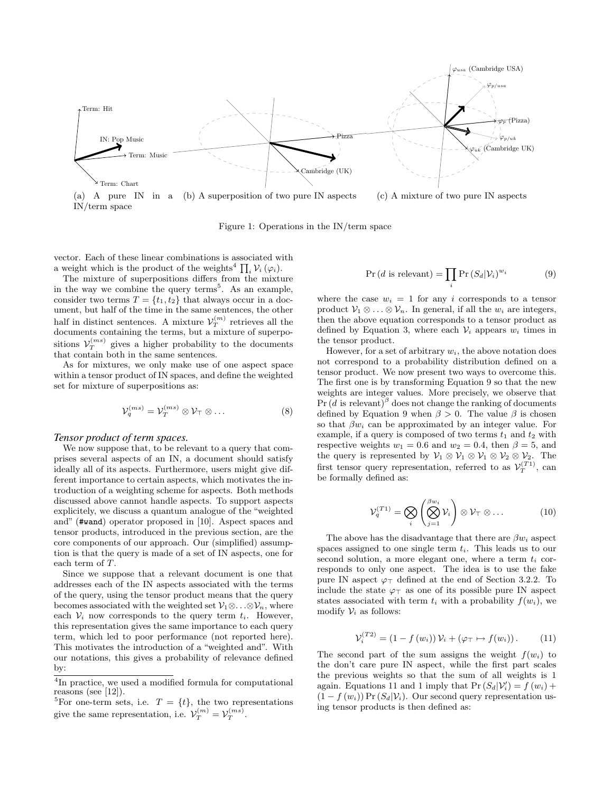

IN/term space

Figure 1: Operations in the IN/term space

vector. Each of these linear combinations is associated with a weight which is the product of the weights<sup>4</sup>  $\prod_i \mathcal{V}_i (\varphi_i)$ .

The mixture of superpositions differs from the mixture in the way we combine the query terms<sup>5</sup>. As an example, consider two terms  $T = \{t_1, t_2\}$  that always occur in a document, but half of the time in the same sentences, the other half in distinct sentences. A mixture  $\mathcal{V}_T^{(m)}$  retrieves all the documents containing the terms, but a mixture of superpositions  $\mathcal{V}_T^{(ms)}$  gives a higher probability to the documents that contain both in the same sentences.

As for mixtures, we only make use of one aspect space within a tensor product of IN spaces, and define the weighted set for mixture of superpositions as:

$$
\mathcal{V}_q^{(ms)} = \mathcal{V}_T^{(ms)} \otimes \mathcal{V}_T \otimes \dots \tag{8}
$$

#### *Tensor product of term spaces.*

We now suppose that, to be relevant to a query that comprises several aspects of an IN, a document should satisfy ideally all of its aspects. Furthermore, users might give different importance to certain aspects, which motivates the introduction of a weighting scheme for aspects. Both methods discussed above cannot handle aspects. To support aspects explicitely, we discuss a quantum analogue of the "weighted and" (#wand) operator proposed in [10]. Aspect spaces and tensor products, introduced in the previous section, are the core components of our approach. Our (simplified) assumption is that the query is made of a set of IN aspects, one for each term of T.

Since we suppose that a relevant document is one that addresses each of the IN aspects associated with the terms of the query, using the tensor product means that the query becomes associated with the weighted set  $\mathcal{V}_1 \otimes \ldots \otimes \mathcal{V}_n$ , where each  $V_i$  now corresponds to the query term  $t_i$ . However, this representation gives the same importance to each query term, which led to poor performance (not reported here). This motivates the introduction of a "weighted and". With our notations, this gives a probability of relevance defined by:

$$
Pr(d \text{ is relevant}) = \prod_{i} Pr(S_d | V_i)^{w_i}
$$
 (9)

where the case  $w_i = 1$  for any i corresponds to a tensor product  $V_1 \otimes \ldots \otimes V_n$ . In general, if all the  $w_i$  are integers, then the above equation corresponds to a tensor product as defined by Equation 3, where each  $\mathcal{V}_i$  appears  $w_i$  times in the tensor product.

However, for a set of arbitrary  $w_i$ , the above notation does not correspond to a probability distribution defined on a tensor product. We now present two ways to overcome this. The first one is by transforming Equation 9 so that the new weights are integer values. More precisely, we observe that  $Pr(d \text{ is relevant})^{\beta}$  does not change the ranking of documents defined by Equation 9 when  $\beta > 0$ . The value  $\beta$  is chosen so that  $\beta w_i$  can be approximated by an integer value. For example, if a query is composed of two terms  $t_1$  and  $t_2$  with respective weights  $w_1 = 0.6$  and  $w_2 = 0.4$ , then  $\beta = 5$ , and the query is represented by  $\mathcal{V}_1 \otimes \mathcal{V}_1 \otimes \mathcal{V}_1 \otimes \mathcal{V}_2 \otimes \mathcal{V}_2$ . The first tensor query representation, referred to as  $\mathcal{V}_T^{(T1)}$ , can be formally defined as:

$$
\mathcal{V}_q^{(T1)} = \bigotimes_i \left( \bigotimes_{j=1}^{\beta w_i} \mathcal{V}_i \right) \otimes \mathcal{V}_{\top} \otimes \dots \tag{10}
$$

The above has the disadvantage that there are  $\beta w_i$  aspect spaces assigned to one single term  $t_i$ . This leads us to our second solution, a more elegant one, where a term  $t_i$  corresponds to only one aspect. The idea is to use the fake pure IN aspect  $\varphi_{\perp}$  defined at the end of Section 3.2.2. To include the state  $\varphi_{\perp}$  as one of its possible pure IN aspect states associated with term  $t_i$  with a probability  $f(w_i)$ , we modify  $V_i$  as follows:

$$
\mathcal{V}_i^{(T2)} = (1 - f(w_i)) \mathcal{V}_i + (\varphi_\top \mapsto f(w_i)). \tag{11}
$$

The second part of the sum assigns the weight  $f(w_i)$  to the don't care pure IN aspect, while the first part scales the previous weights so that the sum of all weights is 1 again. Equations 11 and 1 imply that  $Pr(S_d|V'_i) = f(w_i) +$  $(1 - f(w_i))$  Pr  $(S_d|V_i)$ . Our second query representation using tensor products is then defined as:

<sup>&</sup>lt;sup>4</sup>In practice, we used a modified formula for computational reasons (see  $[12]$ ).

<sup>&</sup>lt;sup>5</sup>For one-term sets, i.e.  $T = \{t\}$ , the two representations give the same representation, i.e.  $\mathcal{V}_T^{(m)} = \mathcal{V}_T^{(ms)}$ .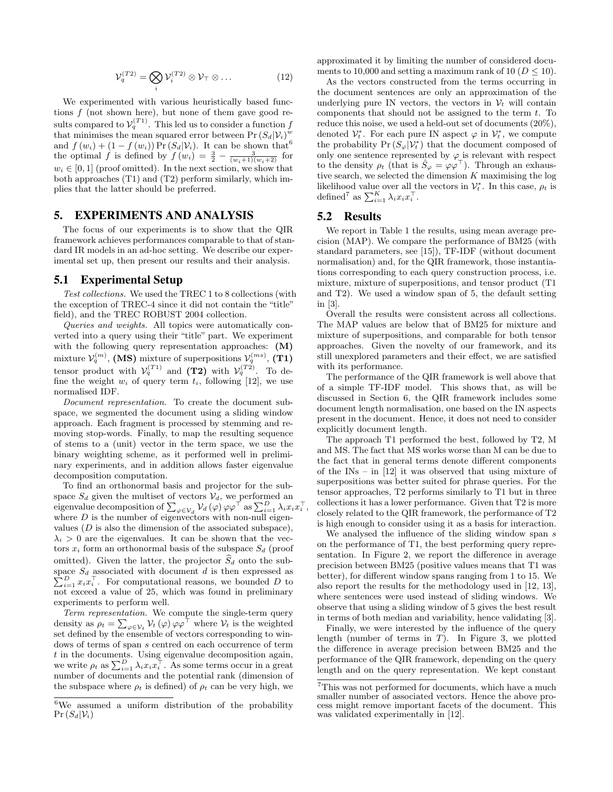$$
\mathcal{V}_q^{(T2)} = \bigotimes_i \mathcal{V}_i^{(T2)} \otimes \mathcal{V}_T \otimes \dots \tag{12}
$$

We experimented with various heuristically based functions  $f$  (not shown here), but none of them gave good results compared to  $V_q^{(T_1)}$ . This led us to consider a function f that minimises the mean squared error between Pr  $(S_d | V_i)^w$ and  $f(w_i) + (1 - f(w_i)) \Pr(S_d|\mathcal{V}_i)$ . It can be shown that<sup>6</sup> the optimal f is defined by  $f(w_i) = \frac{3}{2} - \frac{3}{(w_i+1)(w_i+2)}$  for  $w_i \in [0, 1]$  (proof omitted). In the next section, we show that both approaches (T1) and (T2) perform similarly, which implies that the latter should be preferred.

## 5. EXPERIMENTS AND ANALYSIS

The focus of our experiments is to show that the QIR framework achieves performances comparable to that of standard IR models in an ad-hoc setting. We describe our experimental set up, then present our results and their analysis.

# 5.1 Experimental Setup

*Test collections.* We used the TREC 1 to 8 collections (with the exception of TREC-4 since it did not contain the "title" field), and the TREC ROBUST 2004 collection.

*Queries and weights.* All topics were automatically converted into a query using their "title" part. We experiment with the following query representation approaches: (M) mixture  $V_q^{(m)}$ , (MS) mixture of superpositions  $V_q^{(ms)}$ , (T1) tensor product with  $V_q^{(T1)}$  and (T2) with  $V_q^{(T2)}$ . To define the weight  $w_i$  of query term  $t_i$ , following [12], we use normalised IDF.

*Document representation.* To create the document subspace, we segmented the document using a sliding window approach. Each fragment is processed by stemming and removing stop-words. Finally, to map the resulting sequence of stems to a (unit) vector in the term space, we use the binary weighting scheme, as it performed well in preliminary experiments, and in addition allows faster eigenvalue decomposition computation.

To find an orthonormal basis and projector for the subspace  $S_d$  given the multiset of vectors  $\mathcal{V}_d$ , we performed an eigenvalue decomposition of  $\sum_{\varphi \in \mathcal{V}_d} \mathcal{V}_d(\varphi) \varphi \varphi^\top$  as  $\sum_{i=1}^D \lambda_i x_i x_i^\top$ , where  $D$  is the number of eigenvectors with non-null eigenvalues  $(D \text{ is also the dimension of the associated subspace}),$  $\lambda_i > 0$  are the eigenvalues. It can be shown that the vectors  $x_i$  form an orthonormal basis of the subspace  $S_d$  (proof omitted). Given the latter, the projector  $\widehat{S}_d$  onto the subspace  $S_d$  associated with document d is then expressed as space  $S_d$  associated with document d is then expressed as  $\sum_{i=1}^D x_i x_i^{\top}$ . For computational reasons, we bounded D to not exceed a value of 25, which was found in preliminary experiments to perform well.

*Term representation.* We compute the single-term query density as  $\rho_t = \sum_{\varphi \in \mathcal{V}_t} \mathcal{V}_t(\varphi) \varphi \varphi^\top$  where  $\mathcal{V}_t$  is the weighted set defined by the ensemble of vectors corresponding to windows of terms of span s centred on each occurrence of term t in the documents. Using eigenvalue decomposition again, we write  $\rho_t$  as  $\sum_{i=1}^D \lambda_i x_i x_i^{\top}$ . As some terms occur in a great number of documents and the potential rank (dimension of the subspace where  $\rho_t$  is defined) of  $\rho_t$  can be very high, we approximated it by limiting the number of considered documents to 10,000 and setting a maximum rank of 10 ( $D < 10$ ).

As the vectors constructed from the terms occurring in the document sentences are only an approximation of the underlying pure IN vectors, the vectors in  $V_t$  will contain components that should not be assigned to the term  $t$ . To reduce this noise, we used a held-out set of documents (20%), denoted  $\mathcal{V}_t^*$ . For each pure IN aspect  $\varphi$  in  $\mathcal{V}_t^*$ , we compute the probability  $Pr(S_{\varphi} | \mathcal{V}_t^*)$  that the document composed of only one sentence represented by  $\varphi$  is relevant with respect to the density  $\rho_t$  (that is  $\hat{S}_{\varphi} = \varphi \varphi^{\top}$ ). Through an exhaustive search, we selected the dimension  $K$  maximising the log likelihood value over all the vectors in  $\mathcal{V}_t^*$ . In this case,  $\rho_t$  is defined<sup>7</sup> as  $\sum_{i=1}^{K} \lambda_i x_i x_i^{\top}$ .

# 5.2 Results

We report in Table 1 the results, using mean average precision (MAP). We compare the performance of BM25 (with standard parameters, see [15]), TF-IDF (without document normalisation) and, for the QIR framework, those instantiations corresponding to each query construction process, i.e. mixture, mixture of superpositions, and tensor product (T1 and T2). We used a window span of 5, the default setting in [3].

Overall the results were consistent across all collections. The MAP values are below that of BM25 for mixture and mixture of superpositions, and comparable for both tensor approaches. Given the novelty of our framework, and its still unexplored parameters and their effect, we are satisfied with its performance.

The performance of the QIR framework is well above that of a simple TF-IDF model. This shows that, as will be discussed in Section 6, the QIR framework includes some document length normalisation, one based on the IN aspects present in the document. Hence, it does not need to consider explicitly document length.

The approach T1 performed the best, followed by T2, M and MS. The fact that MS works worse than M can be due to the fact that in general terms denote different components of the INs – in [12] it was observed that using mixture of superpositions was better suited for phrase queries. For the tensor approaches, T2 performs similarly to T1 but in three collections it has a lower performance. Given that T2 is more closely related to the QIR framework, the performance of T2 is high enough to consider using it as a basis for interaction.

We analysed the influence of the sliding window span s on the performance of T1, the best performing query representation. In Figure 2, we report the difference in average precision between BM25 (positive values means that T1 was better), for different window spans ranging from 1 to 15. We also report the results for the methodology used in [12, 13], where sentences were used instead of sliding windows. We observe that using a sliding window of 5 gives the best result in terms of both median and variability, hence validating [3].

Finally, we were interested by the influence of the query length (number of terms in  $T$ ). In Figure 3, we plotted the difference in average precision between BM25 and the performance of the QIR framework, depending on the query length and on the query representation. We kept constant

 ${}^{6}$ We assumed a uniform distribution of the probability  $Pr(S_d|V_i)$ 

 ${\rm ^7This}$  was not performed for documents, which have a much smaller number of associated vectors. Hence the above process might remove important facets of the document. This was validated experimentally in [12].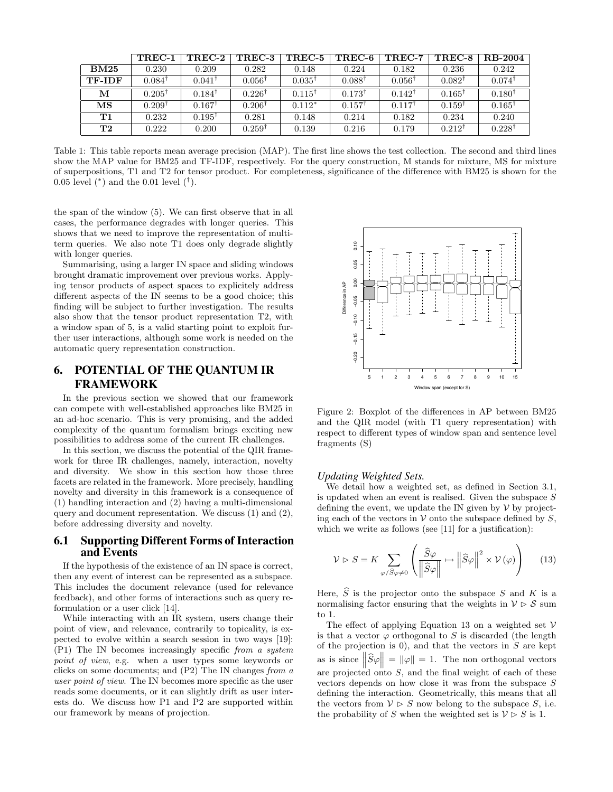|               | TREC-1               | $\rm TREC\text{-}2$  | TREC-3               | $\rm TREC$ -5        | TREC-6               | TREC-7               | TREC-8               | <b>RB-2004</b>       |
|---------------|----------------------|----------------------|----------------------|----------------------|----------------------|----------------------|----------------------|----------------------|
| <b>BM25</b>   | 0.230                | 0.209                | 0.282                | 0.148                | 0.224                | 0.182                | 0.236                | 0.242                |
| TF-IDF        | $0.084^{\dagger}$    | $0.041$ <sup>1</sup> | $0.056^{\dagger}$    | $0.035^{\dagger}$    | $0.088$ <sup>T</sup> | $0.056$ <sup>T</sup> | $0.082$ <sup>T</sup> | $0.074$ <sup>T</sup> |
| м             | $0.205^{\dagger}$    | $0.184$ <sup>1</sup> | $0.226$ <sup>T</sup> | $0.115$ <sup>T</sup> | $0.173^{\dagger}$    | $0.142$ <sup>T</sup> | $0.165^{\dagger}$    | $0.180^{T}$          |
| $_{\rm MS}$   | $0.209$ <sup>T</sup> | $0.167$ <sup>1</sup> | $0.206^{\dagger}$    | $0.112*$             | $0.157$ <sup>1</sup> | $0.117$ <sup>1</sup> | $0.159$ <sup>T</sup> | $0.165^{\dagger}$    |
| T1            | 0.232                | $0.195^{\dagger}$    | 0.281                | 0.148                | 0.214                | 0.182                | 0.234                | 0.240                |
| $\mathbf{T}2$ | 0.222                | 0.200                | $0.259$ <sup>T</sup> | 0.139                | 0.216                | 0.179                | $0.212$ <sup>T</sup> | $0.228$ <sup>T</sup> |

Table 1: This table reports mean average precision (MAP). The first line shows the test collection. The second and third lines show the MAP value for BM25 and TF-IDF, respectively. For the query construction, M stands for mixture, MS for mixture of superpositions, T1 and T2 for tensor product. For completeness, significance of the difference with BM25 is shown for the 0.05 level ( $*$ ) and the 0.01 level ( $\dagger$ ).

the span of the window (5). We can first observe that in all cases, the performance degrades with longer queries. This shows that we need to improve the representation of multiterm queries. We also note T1 does only degrade slightly with longer queries.

Summarising, using a larger IN space and sliding windows brought dramatic improvement over previous works. Applying tensor products of aspect spaces to explicitely address different aspects of the IN seems to be a good choice; this finding will be subject to further investigation. The results also show that the tensor product representation T2, with a window span of 5, is a valid starting point to exploit further user interactions, although some work is needed on the automatic query representation construction.

# 6. POTENTIAL OF THE QUANTUM IR FRAMEWORK

In the previous section we showed that our framework can compete with well-established approaches like BM25 in an ad-hoc scenario. This is very promising, and the added complexity of the quantum formalism brings exciting new possibilities to address some of the current IR challenges.

In this section, we discuss the potential of the QIR framework for three IR challenges, namely, interaction, novelty and diversity. We show in this section how those three facets are related in the framework. More precisely, handling novelty and diversity in this framework is a consequence of (1) handling interaction and (2) having a multi-dimensional query and document representation. We discuss (1) and (2), before addressing diversity and novelty.

# 6.1 Supporting Different Forms of Interaction and Events

If the hypothesis of the existence of an IN space is correct, then any event of interest can be represented as a subspace. This includes the document relevance (used for relevance feedback), and other forms of interactions such as query reformulation or a user click [14].

While interacting with an IR system, users change their point of view, and relevance, contrarily to topicality, is expected to evolve within a search session in two ways [19]: (P1) The IN becomes increasingly specific *from a system point of view*, e.g. when a user types some keywords or clicks on some documents; and (P2) The IN changes *from a user point of view*. The IN becomes more specific as the user reads some documents, or it can slightly drift as user interests do. We discuss how P1 and P2 are supported within our framework by means of projection.



Figure 2: Boxplot of the differences in AP between BM25 and the QIR model (with T1 query representation) with respect to different types of window span and sentence level fragments (S)

#### *Updating Weighted Sets.*

We detail how a weighted set, as defined in Section 3.1, is updated when an event is realised. Given the subspace S defining the event, we update the IN given by  $V$  by projecting each of the vectors in  $V$  onto the subspace defined by  $S$ , which we write as follows (see [11] for a justification):

$$
\mathcal{V} \triangleright S = K \sum_{\varphi/\widehat{S}\varphi \neq 0} \left( \frac{\widehat{S}\varphi}{\left\| \widehat{S}\varphi \right\|} \mapsto \left\| \widehat{S}\varphi \right\|^2 \times \mathcal{V}(\varphi) \right) \tag{13}
$$

Here,  $\widehat{S}$  is the projector onto the subspace S and K is a normalising factor ensuring that the weights in  $V \triangleright S$  sum to 1.

The effect of applying Equation 13 on a weighted set  $V$ is that a vector  $\varphi$  orthogonal to S is discarded (the length of the projection is  $(0)$ , and that the vectors in S are kept as is since  $\left\|\widehat{S}\varphi\right\| = \|\varphi\| = 1$ . The non orthogonal vectors are projected onto  $S$ , and the final weight of each of these vectors depends on how close it was from the subspace S defining the interaction. Geometrically, this means that all the vectors from  $V \triangleright S$  now belong to the subspace S, i.e. the probability of S when the weighted set is  $V \triangleright S$  is 1.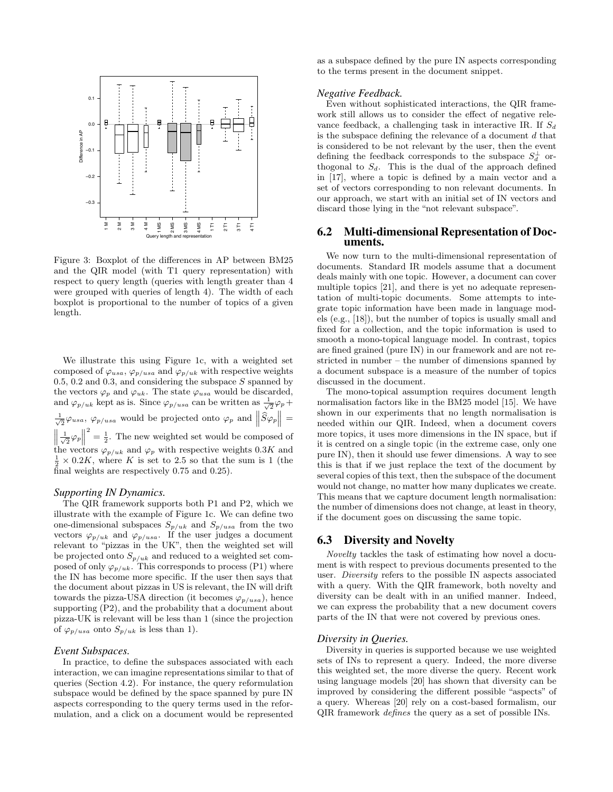

Figure 3: Boxplot of the differences in AP between BM25 and the QIR model (with T1 query representation) with respect to query length (queries with length greater than 4 were grouped with queries of length 4). The width of each boxplot is proportional to the number of topics of a given length.

We illustrate this using Figure 1c, with a weighted set composed of  $\varphi_{usa}, \varphi_{p/usa}$  and  $\varphi_{p/uk}$  with respective weights 0.5, 0.2 and 0.3, and considering the subspace  $S$  spanned by the vectors  $\varphi_p$  and  $\varphi_{uk}$ . The state  $\varphi_{usa}$  would be discarded, and  $\varphi_{p/uk}$  kept as is. Since  $\varphi_{p/usa}$  can be written as  $\frac{1}{\sqrt{2}}\varphi_p +$  $\frac{1}{\sqrt{2}}\varphi_{usa}$ ,  $\varphi_{p/usa}$  would be projected onto  $\varphi_p$  and  $\|\hat{S}\varphi_p\| =$ <br> $\|\cdot\|_{\infty}\|^2$  . The non-mighted at would be compared of  $\left\Vert \frac{1}{\sqrt{2}}\varphi_{p}\right\Vert$  $\frac{2}{2} = \frac{1}{2}$ . The new weighted set would be composed of the vectors  $\varphi_{p/uk}$  and  $\varphi_p$  with respective weights  $0.3K$  and  $\frac{1}{2} \times 0.2K$ , where K is set to 2.5 so that the sum is 1 (the final weights are respectively 0.75 and 0.25).

#### *Supporting IN Dynamics.*

The QIR framework supports both P1 and P2, which we illustrate with the example of Figure 1c. We can define two one-dimensional subspaces  $S_{p/uk}$  and  $S_{p/usa}$  from the two vectors  $\varphi_{p/uk}$  and  $\varphi_{p/usa}$ . If the user judges a document relevant to "pizzas in the UK", then the weighted set will be projected onto  $S_{p/uk}$  and reduced to a weighted set composed of only  $\varphi_{p/uk}$ . This corresponds to process (P1) where the IN has become more specific. If the user then says that the document about pizzas in US is relevant, the IN will drift towards the pizza-USA direction (it becomes  $\varphi_{p/usa}$ ), hence supporting (P2), and the probability that a document about pizza-UK is relevant will be less than 1 (since the projection of  $\varphi_{p/usa}$  onto  $S_{p/uk}$  is less than 1).

#### *Event Subspaces.*

In practice, to define the subspaces associated with each interaction, we can imagine representations similar to that of queries (Section 4.2). For instance, the query reformulation subspace would be defined by the space spanned by pure IN aspects corresponding to the query terms used in the reformulation, and a click on a document would be represented

as a subspace defined by the pure IN aspects corresponding to the terms present in the document snippet.

#### *Negative Feedback.*

Even without sophisticated interactions, the QIR framework still allows us to consider the effect of negative relevance feedback, a challenging task in interactive IR. If  $S_d$ is the subspace defining the relevance of a document  $d$  that is considered to be not relevant by the user, then the event defining the feedback corresponds to the subspace  $S_d^{\perp}$  orthogonal to  $S_d$ . This is the dual of the approach defined in [17], where a topic is defined by a main vector and a set of vectors corresponding to non relevant documents. In our approach, we start with an initial set of IN vectors and discard those lying in the "not relevant subspace".

## 6.2 Multi-dimensional Representation of Documents.

We now turn to the multi-dimensional representation of documents. Standard IR models assume that a document deals mainly with one topic. However, a document can cover multiple topics [21], and there is yet no adequate representation of multi-topic documents. Some attempts to integrate topic information have been made in language models (e.g., [18]), but the number of topics is usually small and fixed for a collection, and the topic information is used to smooth a mono-topical language model. In contrast, topics are fined grained (pure IN) in our framework and are not restricted in number – the number of dimensions spanned by a document subspace is a measure of the number of topics discussed in the document.

The mono-topical assumption requires document length normalisation factors like in the BM25 model [15]. We have shown in our experiments that no length normalisation is needed within our QIR. Indeed, when a document covers more topics, it uses more dimensions in the IN space, but if it is centred on a single topic (in the extreme case, only one pure IN), then it should use fewer dimensions. A way to see this is that if we just replace the text of the document by several copies of this text, then the subspace of the document would not change, no matter how many duplicates we create. This means that we capture document length normalisation: the number of dimensions does not change, at least in theory, if the document goes on discussing the same topic.

### 6.3 Diversity and Novelty

*Novelty* tackles the task of estimating how novel a document is with respect to previous documents presented to the user. *Diversity* refers to the possible IN aspects associated with a query. With the QIR framework, both novelty and diversity can be dealt with in an unified manner. Indeed, we can express the probability that a new document covers parts of the IN that were not covered by previous ones.

#### *Diversity in Queries.*

Diversity in queries is supported because we use weighted sets of INs to represent a query. Indeed, the more diverse this weighted set, the more diverse the query. Recent work using language models [20] has shown that diversity can be improved by considering the different possible "aspects" of a query. Whereas [20] rely on a cost-based formalism, our QIR framework *defines* the query as a set of possible INs.